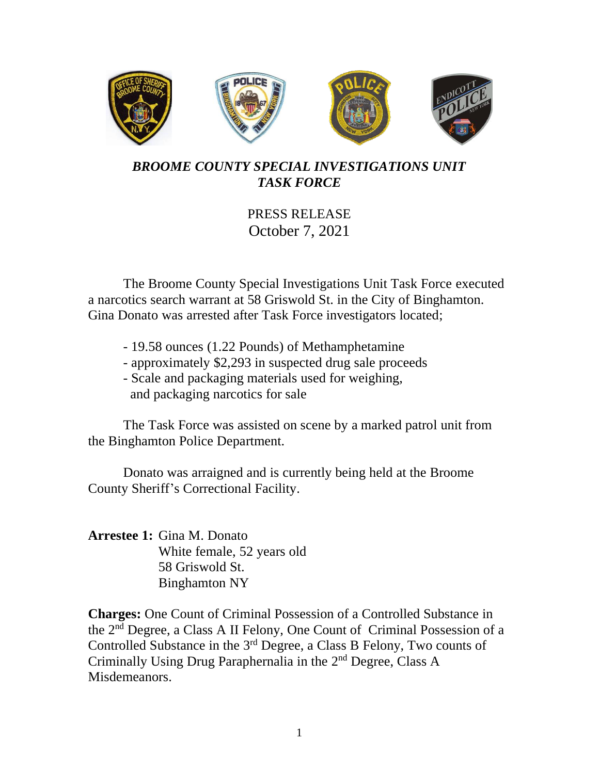

## *BROOME COUNTY SPECIAL INVESTIGATIONS UNIT TASK FORCE*

## PRESS RELEASE October 7, 2021

The Broome County Special Investigations Unit Task Force executed a narcotics search warrant at 58 Griswold St. in the City of Binghamton. Gina Donato was arrested after Task Force investigators located;

- 19.58 ounces (1.22 Pounds) of Methamphetamine
- approximately \$2,293 in suspected drug sale proceeds
- Scale and packaging materials used for weighing, and packaging narcotics for sale

The Task Force was assisted on scene by a marked patrol unit from the Binghamton Police Department.

Donato was arraigned and is currently being held at the Broome County Sheriff's Correctional Facility.

**Arrestee 1:** Gina M. Donato White female, 52 years old 58 Griswold St. Binghamton NY

**Charges:** One Count of Criminal Possession of a Controlled Substance in the 2nd Degree, a Class A II Felony, One Count of Criminal Possession of a Controlled Substance in the 3<sup>rd</sup> Degree, a Class B Felony, Two counts of Criminally Using Drug Paraphernalia in the 2nd Degree, Class A Misdemeanors.